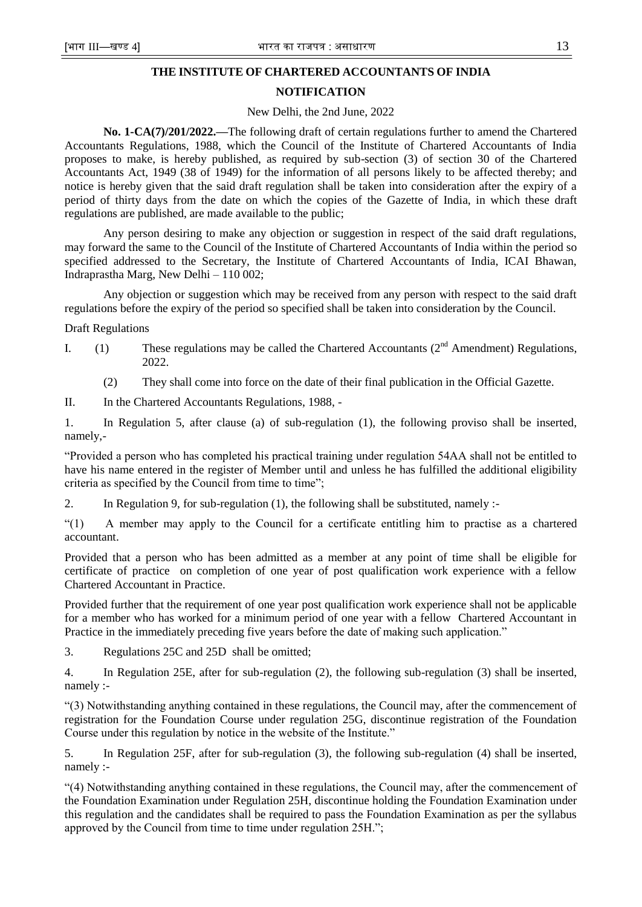# **THE INSTITUTE OF CHARTERED ACCOUNTANTS OF INDIA**

## **NOTIFICATION**

#### New Delhi, the 2nd June, 2022

**No. 1-CA(7)/201/2022.—**The following draft of certain regulations further to amend the Chartered Accountants Regulations, 1988, which the Council of the Institute of Chartered Accountants of India proposes to make, is hereby published, as required by sub-section (3) of section 30 of the Chartered Accountants Act, 1949 (38 of 1949) for the information of all persons likely to be affected thereby; and notice is hereby given that the said draft regulation shall be taken into consideration after the expiry of a period of thirty days from the date on which the copies of the Gazette of India, in which these draft regulations are published, are made available to the public;

Any person desiring to make any objection or suggestion in respect of the said draft regulations, may forward the same to the Council of the Institute of Chartered Accountants of India within the period so specified addressed to the Secretary, the Institute of Chartered Accountants of India, ICAI Bhawan, Indraprastha Marg, New Delhi – 110 002;

Any objection or suggestion which may be received from any person with respect to the said draft regulations before the expiry of the period so specified shall be taken into consideration by the Council.

Draft Regulations

- I. (1) These regulations may be called the Chartered Accountants  $(2<sup>nd</sup> A mendment)$  Regulations, 2022.
	- (2) They shall come into force on the date of their final publication in the Official Gazette.

II. In the Chartered Accountants Regulations, 1988, -

1. In Regulation 5, after clause (a) of sub-regulation (1), the following proviso shall be inserted, namely,-

―Provided a person who has completed his practical training under regulation 54AA shall not be entitled to have his name entered in the register of Member until and unless he has fulfilled the additional eligibility criteria as specified by the Council from time to time";

2. In Regulation 9, for sub-regulation (1), the following shall be substituted, namely :-

―(1) A member may apply to the Council for a certificate entitling him to practise as a chartered accountant.

Provided that a person who has been admitted as a member at any point of time shall be eligible for certificate of practice on completion of one year of post qualification work experience with a fellow Chartered Accountant in Practice.

Provided further that the requirement of one year post qualification work experience shall not be applicable for a member who has worked for a minimum period of one year with a fellow Chartered Accountant in Practice in the immediately preceding five years before the date of making such application."

3. Regulations 25C and 25D shall be omitted;

4. In Regulation 25E, after for sub-regulation (2), the following sub-regulation (3) shall be inserted, namely :-

―(3) Notwithstanding anything contained in these regulations, the Council may, after the commencement of registration for the Foundation Course under regulation 25G, discontinue registration of the Foundation Course under this regulation by notice in the website of the Institute."

5. In Regulation 25F, after for sub-regulation (3), the following sub-regulation (4) shall be inserted, namely :-

―(4) Notwithstanding anything contained in these regulations, the Council may, after the commencement of the Foundation Examination under Regulation 25H, discontinue holding the Foundation Examination under this regulation and the candidates shall be required to pass the Foundation Examination as per the syllabus approved by the Council from time to time under regulation 25H.";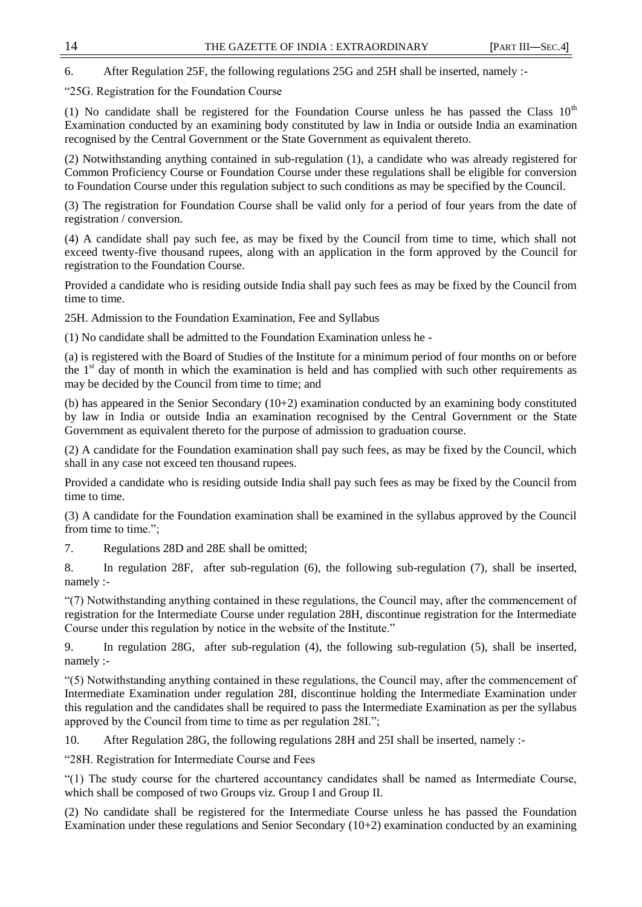6. After Regulation 25F, the following regulations 25G and 25H shall be inserted, namely :-

―25G. Registration for the Foundation Course

(1) No candidate shall be registered for the Foundation Course unless he has passed the Class  $10<sup>th</sup>$ Examination conducted by an examining body constituted by law in India or outside India an examination recognised by the Central Government or the State Government as equivalent thereto.

(2) Notwithstanding anything contained in sub-regulation (1), a candidate who was already registered for Common Proficiency Course or Foundation Course under these regulations shall be eligible for conversion to Foundation Course under this regulation subject to such conditions as may be specified by the Council.

(3) The registration for Foundation Course shall be valid only for a period of four years from the date of registration / conversion.

(4) A candidate shall pay such fee, as may be fixed by the Council from time to time, which shall not exceed twenty-five thousand rupees, along with an application in the form approved by the Council for registration to the Foundation Course.

Provided a candidate who is residing outside India shall pay such fees as may be fixed by the Council from time to time.

25H. Admission to the Foundation Examination, Fee and Syllabus

(1) No candidate shall be admitted to the Foundation Examination unless he -

(a) is registered with the Board of Studies of the Institute for a minimum period of four months on or before the 1<sup>st</sup> day of month in which the examination is held and has complied with such other requirements as may be decided by the Council from time to time; and

(b) has appeared in the Senior Secondary (10+2) examination conducted by an examining body constituted by law in India or outside India an examination recognised by the Central Government or the State Government as equivalent thereto for the purpose of admission to graduation course.

(2) A candidate for the Foundation examination shall pay such fees, as may be fixed by the Council, which shall in any case not exceed ten thousand rupees.

Provided a candidate who is residing outside India shall pay such fees as may be fixed by the Council from time to time.

(3) A candidate for the Foundation examination shall be examined in the syllabus approved by the Council from time to time.";

7. Regulations 28D and 28E shall be omitted;

8. In regulation 28F, after sub-regulation (6), the following sub-regulation (7), shall be inserted, namely :-

―(7) Notwithstanding anything contained in these regulations, the Council may, after the commencement of registration for the Intermediate Course under regulation 28H, discontinue registration for the Intermediate Course under this regulation by notice in the website of the Institute."

9. In regulation 28G, after sub-regulation (4), the following sub-regulation (5), shall be inserted, namely :-

―(5) Notwithstanding anything contained in these regulations, the Council may, after the commencement of Intermediate Examination under regulation 28I, discontinue holding the Intermediate Examination under this regulation and the candidates shall be required to pass the Intermediate Examination as per the syllabus approved by the Council from time to time as per regulation 28I.";

10. After Regulation 28G, the following regulations 28H and 25I shall be inserted, namely :-

―28H. Registration for Intermediate Course and Fees

―(1) The study course for the chartered accountancy candidates shall be named as Intermediate Course, which shall be composed of two Groups viz. Group I and Group II.

(2) No candidate shall be registered for the Intermediate Course unless he has passed the Foundation Examination under these regulations and Senior Secondary  $(10+2)$  examination conducted by an examining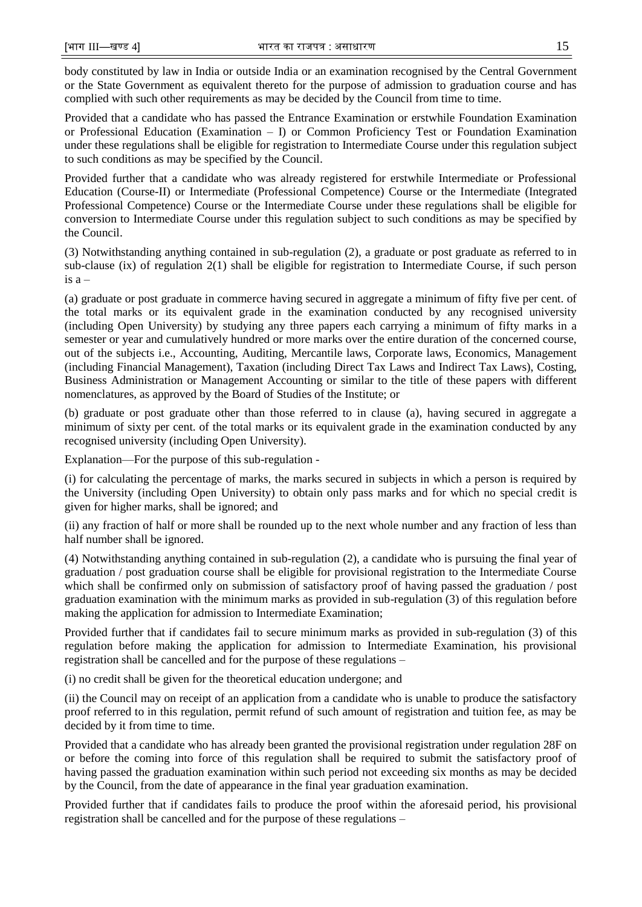body constituted by law in India or outside India or an examination recognised by the Central Government or the State Government as equivalent thereto for the purpose of admission to graduation course and has complied with such other requirements as may be decided by the Council from time to time.

Provided that a candidate who has passed the Entrance Examination or erstwhile Foundation Examination or Professional Education (Examination – I) or Common Proficiency Test or Foundation Examination under these regulations shall be eligible for registration to Intermediate Course under this regulation subject to such conditions as may be specified by the Council.

Provided further that a candidate who was already registered for erstwhile Intermediate or Professional Education (Course-II) or Intermediate (Professional Competence) Course or the Intermediate (Integrated Professional Competence) Course or the Intermediate Course under these regulations shall be eligible for conversion to Intermediate Course under this regulation subject to such conditions as may be specified by the Council.

(3) Notwithstanding anything contained in sub-regulation (2), a graduate or post graduate as referred to in sub-clause (ix) of regulation 2(1) shall be eligible for registration to Intermediate Course, if such person is  $a -$ 

(a) graduate or post graduate in commerce having secured in aggregate a minimum of fifty five per cent. of the total marks or its equivalent grade in the examination conducted by any recognised university (including Open University) by studying any three papers each carrying a minimum of fifty marks in a semester or year and cumulatively hundred or more marks over the entire duration of the concerned course, out of the subjects i.e., Accounting, Auditing, Mercantile laws, Corporate laws, Economics, Management (including Financial Management), Taxation (including Direct Tax Laws and Indirect Tax Laws), Costing, Business Administration or Management Accounting or similar to the title of these papers with different nomenclatures, as approved by the Board of Studies of the Institute; or

(b) graduate or post graduate other than those referred to in clause (a), having secured in aggregate a minimum of sixty per cent. of the total marks or its equivalent grade in the examination conducted by any recognised university (including Open University).

Explanation—For the purpose of this sub-regulation -

(i) for calculating the percentage of marks, the marks secured in subjects in which a person is required by the University (including Open University) to obtain only pass marks and for which no special credit is given for higher marks, shall be ignored; and

(ii) any fraction of half or more shall be rounded up to the next whole number and any fraction of less than half number shall be ignored.

(4) Notwithstanding anything contained in sub-regulation (2), a candidate who is pursuing the final year of graduation / post graduation course shall be eligible for provisional registration to the Intermediate Course which shall be confirmed only on submission of satisfactory proof of having passed the graduation / post graduation examination with the minimum marks as provided in sub-regulation (3) of this regulation before making the application for admission to Intermediate Examination;

Provided further that if candidates fail to secure minimum marks as provided in sub-regulation (3) of this regulation before making the application for admission to Intermediate Examination, his provisional registration shall be cancelled and for the purpose of these regulations –

(i) no credit shall be given for the theoretical education undergone; and

(ii) the Council may on receipt of an application from a candidate who is unable to produce the satisfactory proof referred to in this regulation, permit refund of such amount of registration and tuition fee, as may be decided by it from time to time.

Provided that a candidate who has already been granted the provisional registration under regulation 28F on or before the coming into force of this regulation shall be required to submit the satisfactory proof of having passed the graduation examination within such period not exceeding six months as may be decided by the Council, from the date of appearance in the final year graduation examination.

Provided further that if candidates fails to produce the proof within the aforesaid period, his provisional registration shall be cancelled and for the purpose of these regulations –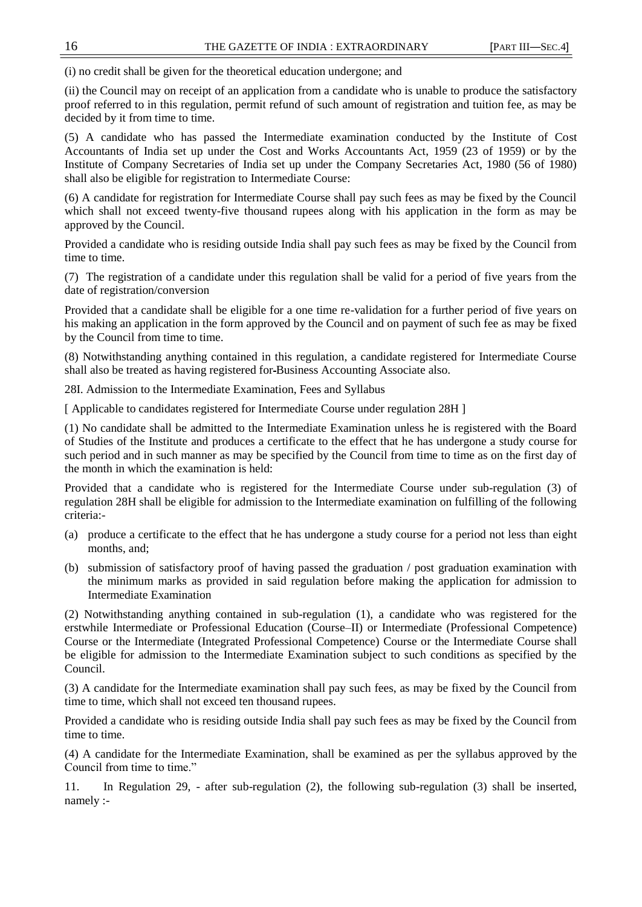(i) no credit shall be given for the theoretical education undergone; and

(ii) the Council may on receipt of an application from a candidate who is unable to produce the satisfactory proof referred to in this regulation, permit refund of such amount of registration and tuition fee, as may be decided by it from time to time.

(5) A candidate who has passed the Intermediate examination conducted by the Institute of Cost Accountants of India set up under the Cost and Works Accountants Act, 1959 (23 of 1959) or by the Institute of Company Secretaries of India set up under the Company Secretaries Act, 1980 (56 of 1980) shall also be eligible for registration to Intermediate Course:

(6) A candidate for registration for Intermediate Course shall pay such fees as may be fixed by the Council which shall not exceed twenty-five thousand rupees along with his application in the form as may be approved by the Council.

Provided a candidate who is residing outside India shall pay such fees as may be fixed by the Council from time to time.

(7) The registration of a candidate under this regulation shall be valid for a period of five years from the date of registration/conversion

Provided that a candidate shall be eligible for a one time re-validation for a further period of five years on his making an application in the form approved by the Council and on payment of such fee as may be fixed by the Council from time to time.

(8) Notwithstanding anything contained in this regulation, a candidate registered for Intermediate Course shall also be treated as having registered for Business Accounting Associate also.

28I. Admission to the Intermediate Examination, Fees and Syllabus

[ Applicable to candidates registered for Intermediate Course under regulation 28H ]

(1) No candidate shall be admitted to the Intermediate Examination unless he is registered with the Board of Studies of the Institute and produces a certificate to the effect that he has undergone a study course for such period and in such manner as may be specified by the Council from time to time as on the first day of the month in which the examination is held:

Provided that a candidate who is registered for the Intermediate Course under sub-regulation (3) of regulation 28H shall be eligible for admission to the Intermediate examination on fulfilling of the following criteria:-

- (a) produce a certificate to the effect that he has undergone a study course for a period not less than eight months, and;
- (b) submission of satisfactory proof of having passed the graduation / post graduation examination with the minimum marks as provided in said regulation before making the application for admission to Intermediate Examination

(2) Notwithstanding anything contained in sub-regulation (1), a candidate who was registered for the erstwhile Intermediate or Professional Education (Course–II) or Intermediate (Professional Competence) Course or the Intermediate (Integrated Professional Competence) Course or the Intermediate Course shall be eligible for admission to the Intermediate Examination subject to such conditions as specified by the Council.

(3) A candidate for the Intermediate examination shall pay such fees, as may be fixed by the Council from time to time, which shall not exceed ten thousand rupees.

Provided a candidate who is residing outside India shall pay such fees as may be fixed by the Council from time to time.

(4) A candidate for the Intermediate Examination, shall be examined as per the syllabus approved by the Council from time to time."

11. In Regulation 29, - after sub-regulation (2), the following sub-regulation (3) shall be inserted, namely :-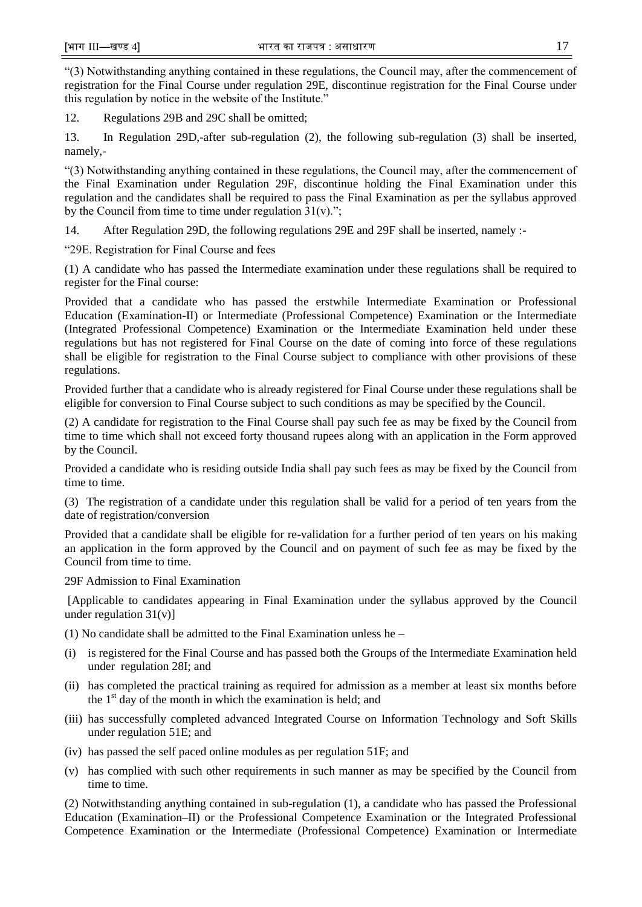―(3) Notwithstanding anything contained in these regulations, the Council may, after the commencement of registration for the Final Course under regulation 29E, discontinue registration for the Final Course under this regulation by notice in the website of the Institute."

12. Regulations 29B and 29C shall be omitted;

13. In Regulation 29D,-after sub-regulation (2), the following sub-regulation (3) shall be inserted, namely,-

―(3) Notwithstanding anything contained in these regulations, the Council may, after the commencement of the Final Examination under Regulation 29F, discontinue holding the Final Examination under this regulation and the candidates shall be required to pass the Final Examination as per the syllabus approved by the Council from time to time under regulation  $31(v)$ .";

14. After Regulation 29D, the following regulations 29E and 29F shall be inserted, namely :-

―29E. Registration for Final Course and fees

(1) A candidate who has passed the Intermediate examination under these regulations shall be required to register for the Final course:

Provided that a candidate who has passed the erstwhile Intermediate Examination or Professional Education (Examination-II) or Intermediate (Professional Competence) Examination or the Intermediate (Integrated Professional Competence) Examination or the Intermediate Examination held under these regulations but has not registered for Final Course on the date of coming into force of these regulations shall be eligible for registration to the Final Course subject to compliance with other provisions of these regulations.

Provided further that a candidate who is already registered for Final Course under these regulations shall be eligible for conversion to Final Course subject to such conditions as may be specified by the Council.

(2) A candidate for registration to the Final Course shall pay such fee as may be fixed by the Council from time to time which shall not exceed forty thousand rupees along with an application in the Form approved by the Council.

Provided a candidate who is residing outside India shall pay such fees as may be fixed by the Council from time to time.

(3) The registration of a candidate under this regulation shall be valid for a period of ten years from the date of registration/conversion

Provided that a candidate shall be eligible for re-validation for a further period of ten years on his making an application in the form approved by the Council and on payment of such fee as may be fixed by the Council from time to time.

29F Admission to Final Examination

[Applicable to candidates appearing in Final Examination under the syllabus approved by the Council under regulation  $31(v)$ ]

(1) No candidate shall be admitted to the Final Examination unless he –

- (i) is registered for the Final Course and has passed both the Groups of the Intermediate Examination held under regulation 28I; and
- (ii) has completed the practical training as required for admission as a member at least six months before the  $1<sup>st</sup>$  day of the month in which the examination is held; and
- (iii) has successfully completed advanced Integrated Course on Information Technology and Soft Skills under regulation 51E; and
- (iv) has passed the self paced online modules as per regulation 51F; and
- (v) has complied with such other requirements in such manner as may be specified by the Council from time to time.

(2) Notwithstanding anything contained in sub-regulation (1), a candidate who has passed the Professional Education (Examination–II) or the Professional Competence Examination or the Integrated Professional Competence Examination or the Intermediate (Professional Competence) Examination or Intermediate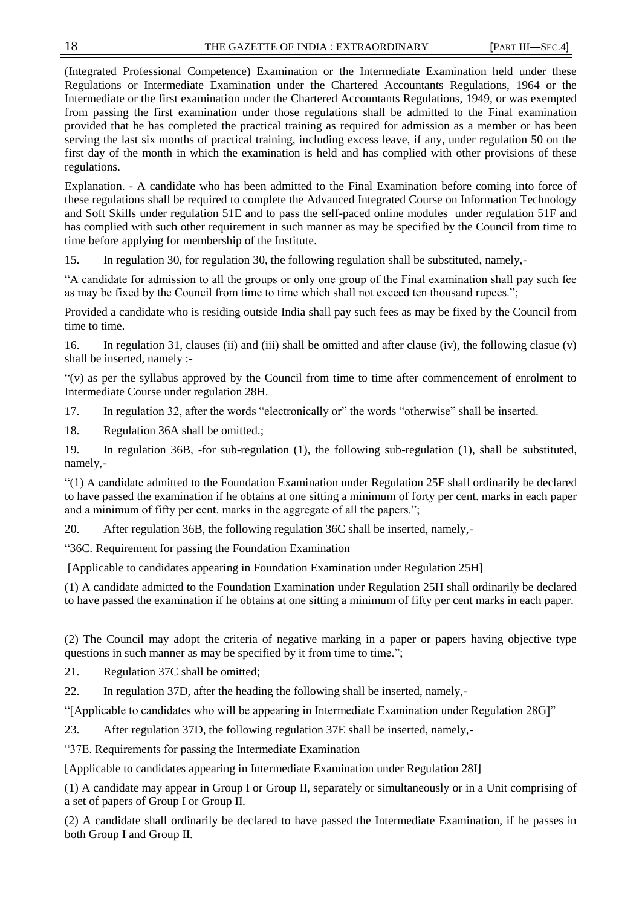(Integrated Professional Competence) Examination or the Intermediate Examination held under these Regulations or Intermediate Examination under the Chartered Accountants Regulations, 1964 or the Intermediate or the first examination under the Chartered Accountants Regulations, 1949, or was exempted from passing the first examination under those regulations shall be admitted to the Final examination provided that he has completed the practical training as required for admission as a member or has been serving the last six months of practical training, including excess leave, if any, under regulation 50 on the first day of the month in which the examination is held and has complied with other provisions of these regulations.

Explanation. - A candidate who has been admitted to the Final Examination before coming into force of these regulations shall be required to complete the Advanced Integrated Course on Information Technology and Soft Skills under regulation 51E and to pass the self-paced online modules under regulation 51F and has complied with such other requirement in such manner as may be specified by the Council from time to time before applying for membership of the Institute.

15. In regulation 30, for regulation 30, the following regulation shall be substituted, namely,-

"A candidate for admission to all the groups or only one group of the Final examination shall pay such fee as may be fixed by the Council from time to time which shall not exceed ten thousand rupees.";

Provided a candidate who is residing outside India shall pay such fees as may be fixed by the Council from time to time.

16. In regulation 31, clauses (ii) and (iii) shall be omitted and after clause (iv), the following clasue (v) shall be inserted, namely :-

―(v) as per the syllabus approved by the Council from time to time after commencement of enrolment to Intermediate Course under regulation 28H.

17. In regulation 32, after the words "electronically or" the words "otherwise" shall be inserted.

18. Regulation 36A shall be omitted.;

19. In regulation 36B, -for sub-regulation (1), the following sub-regulation (1), shall be substituted, namely,-

―(1) A candidate admitted to the Foundation Examination under Regulation 25F shall ordinarily be declared to have passed the examination if he obtains at one sitting a minimum of forty per cent. marks in each paper and a minimum of fifty per cent. marks in the aggregate of all the papers.";

20. After regulation 36B, the following regulation 36C shall be inserted, namely,-

―36C. Requirement for passing the Foundation Examination

[Applicable to candidates appearing in Foundation Examination under Regulation 25H]

(1) A candidate admitted to the Foundation Examination under Regulation 25H shall ordinarily be declared to have passed the examination if he obtains at one sitting a minimum of fifty per cent marks in each paper.

(2) The Council may adopt the criteria of negative marking in a paper or papers having objective type questions in such manner as may be specified by it from time to time.";

21. Regulation 37C shall be omitted;

22. In regulation 37D, after the heading the following shall be inserted, namely,-

"[Applicable to candidates who will be appearing in Intermediate Examination under Regulation 28G]"

23. After regulation 37D, the following regulation 37E shall be inserted, namely,-

―37E. Requirements for passing the Intermediate Examination

[Applicable to candidates appearing in Intermediate Examination under Regulation 28I]

(1) A candidate may appear in Group I or Group II, separately or simultaneously or in a Unit comprising of a set of papers of Group I or Group II.

(2) A candidate shall ordinarily be declared to have passed the Intermediate Examination, if he passes in both Group I and Group II.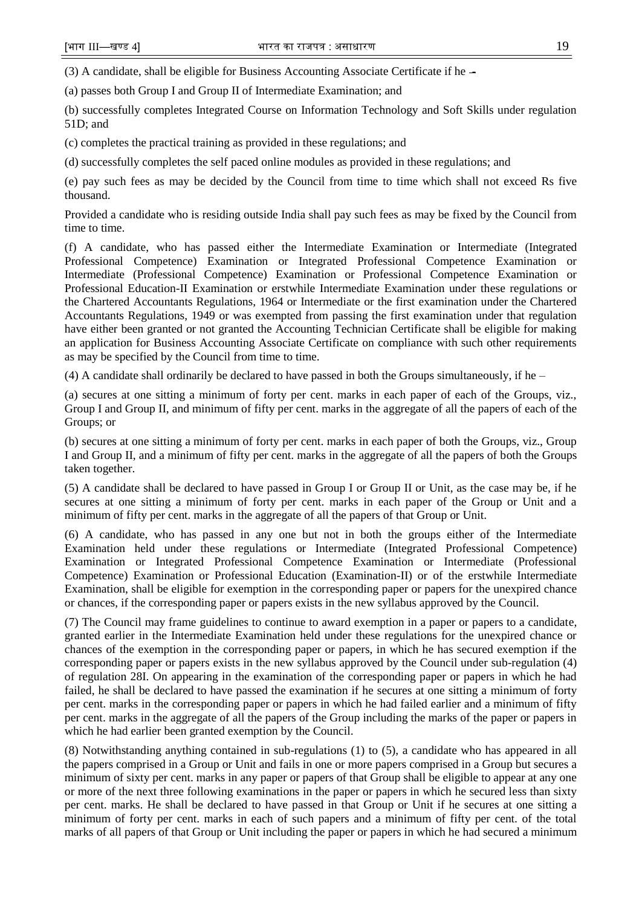$(3)$  A candidate, shall be eligible for Business Accounting Associate Certificate if he  $-$ 

(a) passes both Group I and Group II of Intermediate Examination; and

(b) successfully completes Integrated Course on Information Technology and Soft Skills under regulation 51D; and

(c) completes the practical training as provided in these regulations; and

(d) successfully completes the self paced online modules as provided in these regulations; and

(e) pay such fees as may be decided by the Council from time to time which shall not exceed Rs five thousand.

Provided a candidate who is residing outside India shall pay such fees as may be fixed by the Council from time to time.

(f) A candidate, who has passed either the Intermediate Examination or Intermediate (Integrated Professional Competence) Examination or Integrated Professional Competence Examination or Intermediate (Professional Competence) Examination or Professional Competence Examination or Professional Education-II Examination or erstwhile Intermediate Examination under these regulations or the Chartered Accountants Regulations, 1964 or Intermediate or the first examination under the Chartered Accountants Regulations, 1949 or was exempted from passing the first examination under that regulation have either been granted or not granted the Accounting Technician Certificate shall be eligible for making an application for Business Accounting Associate Certificate on compliance with such other requirements as may be specified by the Council from time to time.

(4) A candidate shall ordinarily be declared to have passed in both the Groups simultaneously, if he –

(a) secures at one sitting a minimum of forty per cent. marks in each paper of each of the Groups, viz., Group I and Group II, and minimum of fifty per cent. marks in the aggregate of all the papers of each of the Groups; or

(b) secures at one sitting a minimum of forty per cent. marks in each paper of both the Groups, viz., Group I and Group II, and a minimum of fifty per cent. marks in the aggregate of all the papers of both the Groups taken together.

(5) A candidate shall be declared to have passed in Group I or Group II or Unit, as the case may be, if he secures at one sitting a minimum of forty per cent. marks in each paper of the Group or Unit and a minimum of fifty per cent. marks in the aggregate of all the papers of that Group or Unit.

(6) A candidate, who has passed in any one but not in both the groups either of the Intermediate Examination held under these regulations or Intermediate (Integrated Professional Competence) Examination or Integrated Professional Competence Examination or Intermediate (Professional Competence) Examination or Professional Education (Examination-II) or of the erstwhile Intermediate Examination, shall be eligible for exemption in the corresponding paper or papers for the unexpired chance or chances, if the corresponding paper or papers exists in the new syllabus approved by the Council.

(7) The Council may frame guidelines to continue to award exemption in a paper or papers to a candidate, granted earlier in the Intermediate Examination held under these regulations for the unexpired chance or chances of the exemption in the corresponding paper or papers, in which he has secured exemption if the corresponding paper or papers exists in the new syllabus approved by the Council under sub-regulation (4) of regulation 28I. On appearing in the examination of the corresponding paper or papers in which he had failed, he shall be declared to have passed the examination if he secures at one sitting a minimum of forty per cent. marks in the corresponding paper or papers in which he had failed earlier and a minimum of fifty per cent. marks in the aggregate of all the papers of the Group including the marks of the paper or papers in which he had earlier been granted exemption by the Council.

(8) Notwithstanding anything contained in sub-regulations (1) to (5), a candidate who has appeared in all the papers comprised in a Group or Unit and fails in one or more papers comprised in a Group but secures a minimum of sixty per cent. marks in any paper or papers of that Group shall be eligible to appear at any one or more of the next three following examinations in the paper or papers in which he secured less than sixty per cent. marks. He shall be declared to have passed in that Group or Unit if he secures at one sitting a minimum of forty per cent. marks in each of such papers and a minimum of fifty per cent. of the total marks of all papers of that Group or Unit including the paper or papers in which he had secured a minimum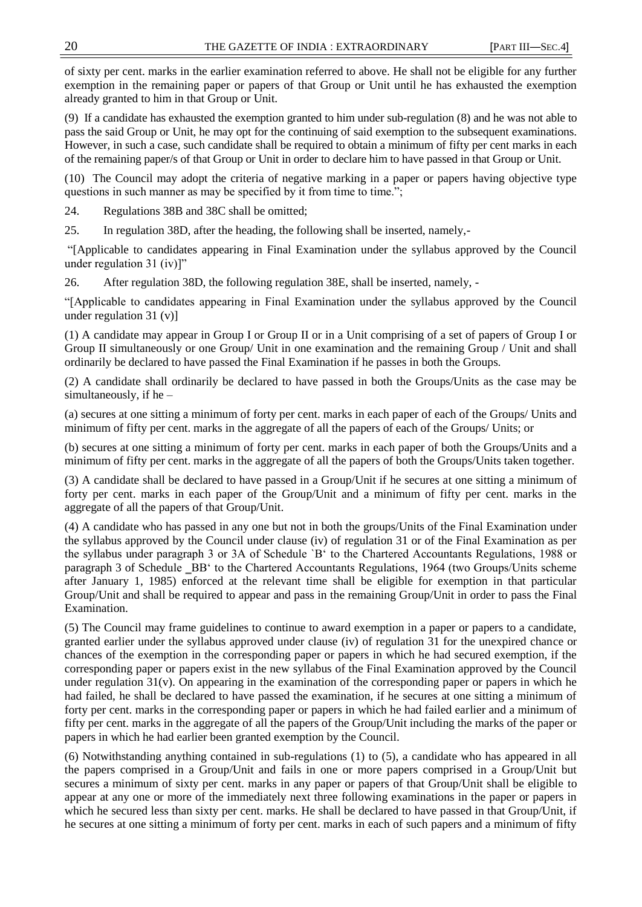of sixty per cent. marks in the earlier examination referred to above. He shall not be eligible for any further exemption in the remaining paper or papers of that Group or Unit until he has exhausted the exemption already granted to him in that Group or Unit.

(9) If a candidate has exhausted the exemption granted to him under sub-regulation (8) and he was not able to pass the said Group or Unit, he may opt for the continuing of said exemption to the subsequent examinations. However, in such a case, such candidate shall be required to obtain a minimum of fifty per cent marks in each of the remaining paper/s of that Group or Unit in order to declare him to have passed in that Group or Unit.

(10) The Council may adopt the criteria of negative marking in a paper or papers having objective type questions in such manner as may be specified by it from time to time.";

24. Regulations 38B and 38C shall be omitted;

25. In regulation 38D, after the heading, the following shall be inserted, namely,-

―[Applicable to candidates appearing in Final Examination under the syllabus approved by the Council under regulation 31 (iv)]"

26. After regulation 38D, the following regulation 38E, shall be inserted, namely, -

―[Applicable to candidates appearing in Final Examination under the syllabus approved by the Council under regulation 31 (v)]

(1) A candidate may appear in Group I or Group II or in a Unit comprising of a set of papers of Group I or Group II simultaneously or one Group/ Unit in one examination and the remaining Group / Unit and shall ordinarily be declared to have passed the Final Examination if he passes in both the Groups.

(2) A candidate shall ordinarily be declared to have passed in both the Groups/Units as the case may be simultaneously, if he –

(a) secures at one sitting a minimum of forty per cent. marks in each paper of each of the Groups/ Units and minimum of fifty per cent. marks in the aggregate of all the papers of each of the Groups/ Units; or

(b) secures at one sitting a minimum of forty per cent. marks in each paper of both the Groups/Units and a minimum of fifty per cent. marks in the aggregate of all the papers of both the Groups/Units taken together.

(3) A candidate shall be declared to have passed in a Group/Unit if he secures at one sitting a minimum of forty per cent. marks in each paper of the Group/Unit and a minimum of fifty per cent. marks in the aggregate of all the papers of that Group/Unit.

(4) A candidate who has passed in any one but not in both the groups/Units of the Final Examination under the syllabus approved by the Council under clause (iv) of regulation 31 or of the Final Examination as per the syllabus under paragraph 3 or 3A of Schedule `B‗ to the Chartered Accountants Regulations, 1988 or paragraph 3 of Schedule \_BB<sup>\*</sup> to the Chartered Accountants Regulations, 1964 (two Groups/Units scheme after January 1, 1985) enforced at the relevant time shall be eligible for exemption in that particular Group/Unit and shall be required to appear and pass in the remaining Group/Unit in order to pass the Final Examination.

(5) The Council may frame guidelines to continue to award exemption in a paper or papers to a candidate, granted earlier under the syllabus approved under clause (iv) of regulation 31 for the unexpired chance or chances of the exemption in the corresponding paper or papers in which he had secured exemption, if the corresponding paper or papers exist in the new syllabus of the Final Examination approved by the Council under regulation  $31(v)$ . On appearing in the examination of the corresponding paper or papers in which he had failed, he shall be declared to have passed the examination, if he secures at one sitting a minimum of forty per cent. marks in the corresponding paper or papers in which he had failed earlier and a minimum of fifty per cent. marks in the aggregate of all the papers of the Group/Unit including the marks of the paper or papers in which he had earlier been granted exemption by the Council.

(6) Notwithstanding anything contained in sub-regulations (1) to (5), a candidate who has appeared in all the papers comprised in a Group/Unit and fails in one or more papers comprised in a Group/Unit but secures a minimum of sixty per cent. marks in any paper or papers of that Group/Unit shall be eligible to appear at any one or more of the immediately next three following examinations in the paper or papers in which he secured less than sixty per cent. marks. He shall be declared to have passed in that Group/Unit, if he secures at one sitting a minimum of forty per cent. marks in each of such papers and a minimum of fifty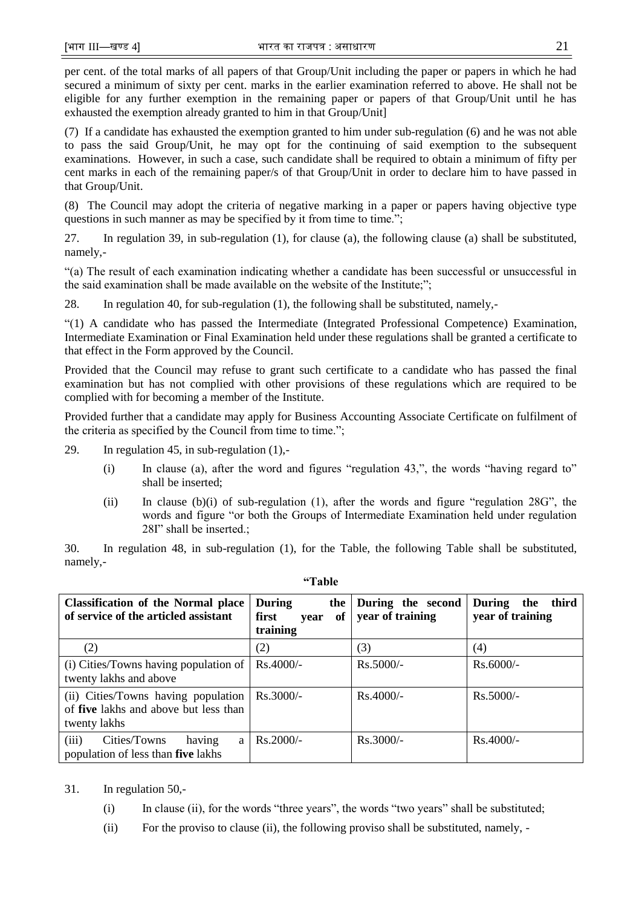per cent. of the total marks of all papers of that Group/Unit including the paper or papers in which he had secured a minimum of sixty per cent. marks in the earlier examination referred to above. He shall not be eligible for any further exemption in the remaining paper or papers of that Group/Unit until he has exhausted the exemption already granted to him in that Group/Unit]

(7) If a candidate has exhausted the exemption granted to him under sub-regulation (6) and he was not able to pass the said Group/Unit, he may opt for the continuing of said exemption to the subsequent examinations. However, in such a case, such candidate shall be required to obtain a minimum of fifty per cent marks in each of the remaining paper/s of that Group/Unit in order to declare him to have passed in that Group/Unit.

(8) The Council may adopt the criteria of negative marking in a paper or papers having objective type questions in such manner as may be specified by it from time to time.";

27. In regulation 39, in sub-regulation (1), for clause (a), the following clause (a) shall be substituted, namely,-

―(a) The result of each examination indicating whether a candidate has been successful or unsuccessful in the said examination shall be made available on the website of the Institute;";

28. In regulation 40, for sub-regulation (1), the following shall be substituted, namely,-

―(1) A candidate who has passed the Intermediate (Integrated Professional Competence) Examination, Intermediate Examination or Final Examination held under these regulations shall be granted a certificate to that effect in the Form approved by the Council.

Provided that the Council may refuse to grant such certificate to a candidate who has passed the final examination but has not complied with other provisions of these regulations which are required to be complied with for becoming a member of the Institute.

Provided further that a candidate may apply for Business Accounting Associate Certificate on fulfilment of the criteria as specified by the Council from time to time.";

29. In regulation 45, in sub-regulation (1),-

- (i) In clause (a), after the word and figures "regulation  $43$ ,", the words "having regard to" shall be inserted;
- (ii) In clause (b)(i) of sub-regulation (1), after the words and figure "regulation  $28G$ ", the words and figure "or both the Groups of Intermediate Examination held under regulation 28I" shall be inserted.:

30. In regulation 48, in sub-regulation (1), for the Table, the following Table shall be substituted, namely,-

| <b>Classification of the Normal place</b><br>of service of the articled assistant                   | <b>During</b><br>the<br>first<br>of<br>vear<br>training | During the second<br>year of training | During the<br>third<br>year of training |
|-----------------------------------------------------------------------------------------------------|---------------------------------------------------------|---------------------------------------|-----------------------------------------|
| (2)                                                                                                 | (2)                                                     | (3)                                   | (4)                                     |
| (i) Cities/Towns having population of<br>twenty lakhs and above                                     | $Rs.4000/-$                                             | $Rs.5000/-$                           | $Rs.6000/-$                             |
| (ii) Cities/Towns having population<br>of <b>five</b> lakhs and above but less than<br>twenty lakhs | $Rs.3000/-$                                             | Rs.4000/-                             | $Rs.5000/-$                             |
| (iii)<br>Cities/Towns<br>having<br>a<br>population of less than <b>five</b> lakhs                   | $Rs.2000/-$                                             | Rs.3000/-                             | $Rs.4000/-$                             |

**"Table**

# 31. In regulation 50,-

- $(i)$  In clause  $(ii)$ , for the words "three years", the words "two years" shall be substituted;
- (ii) For the proviso to clause (ii), the following proviso shall be substituted, namely, -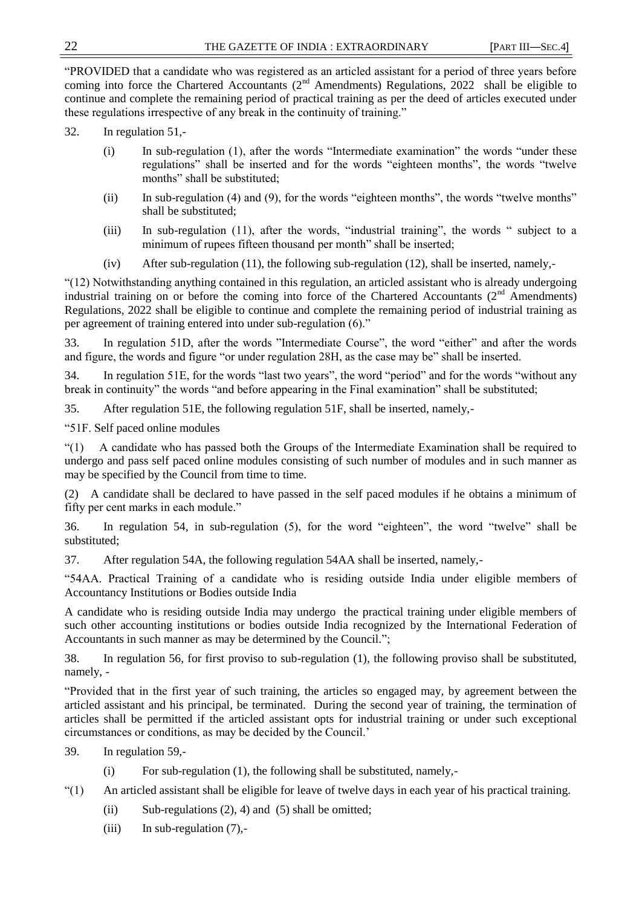―PROVIDED that a candidate who was registered as an articled assistant for a period of three years before coming into force the Chartered Accountants ( $2^{nd}$  Amendments) Regulations, 2022 shall be eligible to continue and complete the remaining period of practical training as per the deed of articles executed under these regulations irrespective of any break in the continuity of training."

- 32. In regulation 51,-
	- $(i)$  In sub-regulation  $(1)$ , after the words "Intermediate examination" the words "under these regulations" shall be inserted and for the words "eighteen months", the words "twelve months" shall be substituted:
	- (ii) In sub-regulation (4) and (9), for the words "eighteen months", the words "twelve months" shall be substituted;
	- (iii) In sub-regulation  $(11)$ , after the words, "industrial training", the words " subject to a minimum of rupees fifteen thousand per month" shall be inserted;
	- (iv) After sub-regulation (11), the following sub-regulation (12), shall be inserted, namely,-

―(12) Notwithstanding anything contained in this regulation, an articled assistant who is already undergoing industrial training on or before the coming into force of the Chartered Accountants ( $2<sup>nd</sup>$  Amendments) Regulations, 2022 shall be eligible to continue and complete the remaining period of industrial training as per agreement of training entered into under sub-regulation (6)."

33. In regulation 51D, after the words "Intermediate Course", the word "either" and after the words and figure, the words and figure "or under regulation 28H, as the case may be" shall be inserted.

34. In regulation 51E, for the words "last two years", the word "period" and for the words "without any break in continuity" the words "and before appearing in the Final examination" shall be substituted;

35. After regulation 51E, the following regulation 51F, shall be inserted, namely,-

―51F. Self paced online modules

―(1) A candidate who has passed both the Groups of the Intermediate Examination shall be required to undergo and pass self paced online modules consisting of such number of modules and in such manner as may be specified by the Council from time to time.

(2) A candidate shall be declared to have passed in the self paced modules if he obtains a minimum of fifty per cent marks in each module."

36. In regulation 54, in sub-regulation (5), for the word "eighteen", the word "twelve" shall be substituted;

37. After regulation 54A, the following regulation 54AA shall be inserted, namely,-

―54AA. Practical Training of a candidate who is residing outside India under eligible members of Accountancy Institutions or Bodies outside India

A candidate who is residing outside India may undergo the practical training under eligible members of such other accounting institutions or bodies outside India recognized by the International Federation of Accountants in such manner as may be determined by the Council.";

38. In regulation 56, for first proviso to sub-regulation (1), the following proviso shall be substituted, namely, -

―Provided that in the first year of such training, the articles so engaged may, by agreement between the articled assistant and his principal, be terminated. During the second year of training, the termination of articles shall be permitted if the articled assistant opts for industrial training or under such exceptional circumstances or conditions, as may be decided by the Council.'

39. In regulation 59,-

- (i) For sub-regulation (1), the following shall be substituted, namely,-
- ―(1) An articled assistant shall be eligible for leave of twelve days in each year of his practical training.
	- (ii) Sub-regulations  $(2)$ , 4) and  $(5)$  shall be omitted;
	- (iii) In sub-regulation  $(7)$ ,-